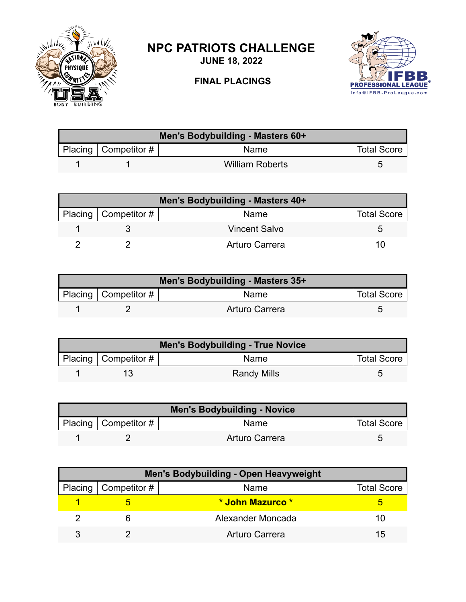

## **NPC PATRIOTS CHALLENGE**

**JUNE 18, 2022**

## **FINAL PLACINGS**



| Men's Bodybuilding - Masters 60+ |                           |                        |                    |  |
|----------------------------------|---------------------------|------------------------|--------------------|--|
|                                  | Placing   Competitor $\#$ | <b>Name</b>            | <b>Total Score</b> |  |
|                                  |                           | <b>William Roberts</b> |                    |  |

| Men's Bodybuilding - Masters 40+ |                              |                      |                    |
|----------------------------------|------------------------------|----------------------|--------------------|
|                                  | Placing $\vert$ Competitor # | Name                 | <b>Total Score</b> |
|                                  |                              | <b>Vincent Salvo</b> |                    |
|                                  |                              | Arturo Carrera       | 10                 |

| Men's Bodybuilding - Masters 35+ |                          |                |                    |  |
|----------------------------------|--------------------------|----------------|--------------------|--|
|                                  | Placing   Competitor $#$ | Name           | <b>Total Score</b> |  |
|                                  |                          | Arturo Carrera |                    |  |

| <b>Men's Bodybuilding - True Novice</b> |                           |                    |                    |  |
|-----------------------------------------|---------------------------|--------------------|--------------------|--|
|                                         | Placing   Competitor $\#$ | Name               | <b>Total Score</b> |  |
|                                         |                           | <b>Randy Mills</b> |                    |  |

| <b>Men's Bodybuilding - Novice</b> |                          |                |                    |  |
|------------------------------------|--------------------------|----------------|--------------------|--|
|                                    | Placing   Competitor $#$ | Name           | <b>Total Score</b> |  |
|                                    |                          | Arturo Carrera |                    |  |

| <b>Men's Bodybuilding - Open Heavyweight</b> |                        |                       |                    |  |
|----------------------------------------------|------------------------|-----------------------|--------------------|--|
|                                              | Placing   Competitor # | Name                  | <b>Total Score</b> |  |
|                                              |                        | * John Mazurco *      |                    |  |
|                                              |                        | Alexander Moncada     | 10                 |  |
|                                              |                        | <b>Arturo Carrera</b> | 15                 |  |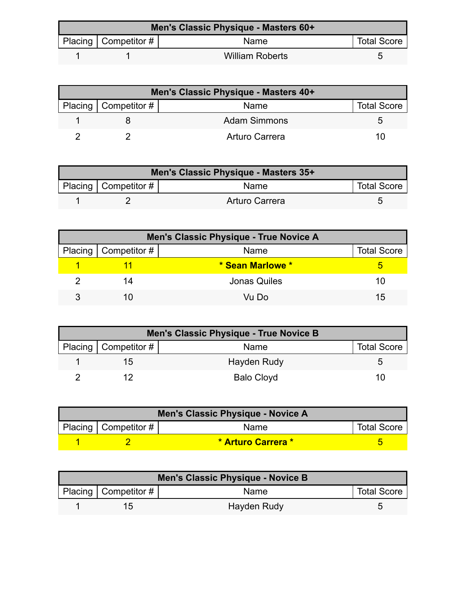| Men's Classic Physique - Masters 60+ |                                      |                        |                    |  |
|--------------------------------------|--------------------------------------|------------------------|--------------------|--|
|                                      | Placing $\vert$ Competitor # $\vert$ | Name                   | <b>Total Score</b> |  |
|                                      |                                      | <b>William Roberts</b> |                    |  |

| Men's Classic Physique - Masters 40+ |                        |                     |                    |  |
|--------------------------------------|------------------------|---------------------|--------------------|--|
|                                      | Placing   Competitor # | Name                | <b>Total Score</b> |  |
|                                      |                        | <b>Adam Simmons</b> |                    |  |
|                                      |                        | Arturo Carrera      |                    |  |

| Men's Classic Physique - Masters 35+ |                        |                |                    |  |
|--------------------------------------|------------------------|----------------|--------------------|--|
|                                      | Placing   Competitor # | <b>Name</b>    | <b>Total Score</b> |  |
|                                      |                        | Arturo Carrera |                    |  |

| Men's Classic Physique - True Novice A |                        |                     |                    |
|----------------------------------------|------------------------|---------------------|--------------------|
|                                        | Placing   Competitor # | Name                | <b>Total Score</b> |
|                                        |                        | * Sean Marlowe *    |                    |
|                                        | 14                     | <b>Jonas Quiles</b> | 10                 |
|                                        |                        | Vu Do               | 15                 |

| Men's Classic Physique - True Novice B |                        |                   |                    |  |
|----------------------------------------|------------------------|-------------------|--------------------|--|
|                                        | Placing   Competitor # | Name              | <b>Total Score</b> |  |
|                                        | ר! ו                   | Hayden Rudy       |                    |  |
|                                        |                        | <b>Balo Cloyd</b> |                    |  |

| Men's Classic Physique - Novice A |                                         |                    |  |  |
|-----------------------------------|-----------------------------------------|--------------------|--|--|
|                                   | Placing   Competitor #  <br><b>Name</b> |                    |  |  |
|                                   |                                         | * Arturo Carrera * |  |  |

| Men's Classic Physique - Novice B |                          |             |                    |
|-----------------------------------|--------------------------|-------------|--------------------|
|                                   | Placing   Competitor $#$ | Name        | <b>Total Score</b> |
|                                   | 1 <sub>2</sub>           | Hayden Rudy |                    |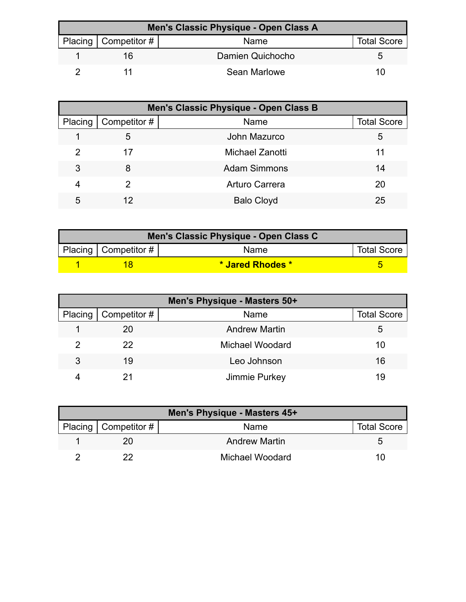| Men's Classic Physique - Open Class A |                        |                  |                    |  |
|---------------------------------------|------------------------|------------------|--------------------|--|
|                                       | Placing   Competitor # | Name             | <b>Total Score</b> |  |
|                                       | 16                     | Damien Quichocho |                    |  |
|                                       |                        | Sean Marlowe     | '''                |  |

| Men's Classic Physique - Open Class B |              |                       |                    |
|---------------------------------------|--------------|-----------------------|--------------------|
| Placing                               | Competitor # | Name                  | <b>Total Score</b> |
|                                       | 5            | John Mazurco          | 5                  |
| 2                                     | 17           | Michael Zanotti       | 11                 |
| 3                                     | 8            | <b>Adam Simmons</b>   | 14                 |
| 4                                     | 2            | <b>Arturo Carrera</b> | 20                 |
| 5                                     |              | <b>Balo Cloyd</b>     | 25                 |

| Men's Classic Physique - Open Class C |                        |                  |                    |  |
|---------------------------------------|------------------------|------------------|--------------------|--|
|                                       | Placing   Competitor # | Name             | <b>Total Score</b> |  |
|                                       |                        | * Jared Rhodes * |                    |  |

| Men's Physique - Masters 50+ |                        |                        |                    |
|------------------------------|------------------------|------------------------|--------------------|
|                              | Placing   Competitor # | Name                   | <b>Total Score</b> |
|                              | 20                     | <b>Andrew Martin</b>   | 5                  |
| 2                            | 22                     | <b>Michael Woodard</b> | 10                 |
| 3                            | 19                     | Leo Johnson            | 16                 |
|                              |                        | Jimmie Purkey          | 19                 |

| Men's Physique - Masters 45+ |                        |                      |                    |  |
|------------------------------|------------------------|----------------------|--------------------|--|
|                              | Placing   Competitor # | Name                 | <b>Total Score</b> |  |
|                              |                        | <b>Andrew Martin</b> |                    |  |
|                              |                        | Michael Woodard      | 111                |  |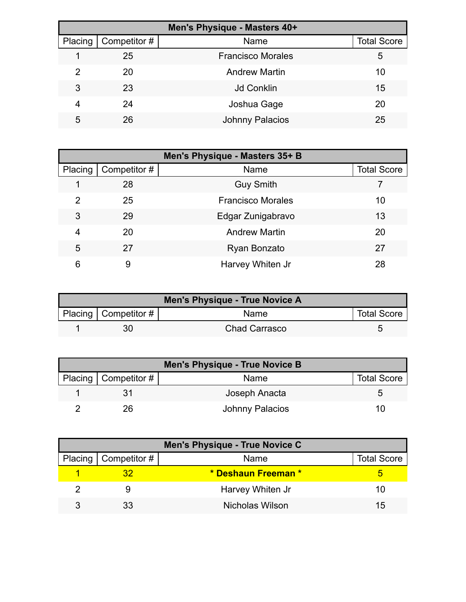| Men's Physique - Masters 40+ |              |                          |                    |  |
|------------------------------|--------------|--------------------------|--------------------|--|
| Placing                      | Competitor # | Name                     | <b>Total Score</b> |  |
|                              | 25           | <b>Francisco Morales</b> | 5                  |  |
| 2                            | 20           | <b>Andrew Martin</b>     | 10                 |  |
| 3                            | 23           | <b>Jd Conklin</b>        | 15                 |  |
| 4                            | 24           | Joshua Gage              | 20                 |  |
| 5                            | 26           | <b>Johnny Palacios</b>   | 25                 |  |

| Men's Physique - Masters 35+ B |              |                          |                    |
|--------------------------------|--------------|--------------------------|--------------------|
| Placing                        | Competitor # | Name                     | <b>Total Score</b> |
|                                | 28           | <b>Guy Smith</b>         |                    |
| 2                              | 25           | <b>Francisco Morales</b> | 10                 |
| 3                              | 29           | Edgar Zunigabravo        | 13                 |
| 4                              | 20           | <b>Andrew Martin</b>     | 20                 |
| 5                              | 27           | Ryan Bonzato             | 27                 |
| 6                              | 9            | Harvey Whiten Jr         | 28                 |

| Men's Physique - True Novice A |                           |                      |                    |
|--------------------------------|---------------------------|----------------------|--------------------|
|                                | Placing   Competitor $\#$ | <b>Name</b>          | <b>Total Score</b> |
|                                | 30.                       | <b>Chad Carrasco</b> |                    |

| Men's Physique - True Novice B |                          |                 |                    |
|--------------------------------|--------------------------|-----------------|--------------------|
|                                | Placing   Competitor $#$ | Name            | <b>Total Score</b> |
|                                |                          | Joseph Anacta   |                    |
|                                | 26                       | Johnny Palacios | 10                 |

| Men's Physique - True Novice C |                        |                     |                    |  |
|--------------------------------|------------------------|---------------------|--------------------|--|
|                                | Placing   Competitor # | Name                | <b>Total Score</b> |  |
|                                |                        | * Deshaun Freeman * |                    |  |
|                                |                        | Harvey Whiten Jr    | 10                 |  |
|                                | 33                     | Nicholas Wilson     | 15                 |  |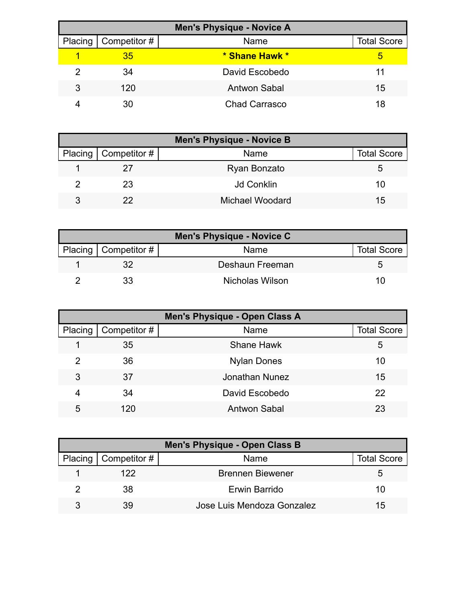| <b>Men's Physique - Novice A</b> |                        |                      |                    |
|----------------------------------|------------------------|----------------------|--------------------|
|                                  | Placing   Competitor # | Name                 | <b>Total Score</b> |
|                                  | 35                     | * Shane Hawk *       | 5                  |
| 2                                | 34                     | David Escobedo       | 11                 |
| 3                                | 120                    | <b>Antwon Sabal</b>  | 15                 |
|                                  | 30                     | <b>Chad Carrasco</b> | 18                 |

| <b>Men's Physique - Novice B</b> |                              |                   |                    |  |
|----------------------------------|------------------------------|-------------------|--------------------|--|
|                                  | Placing $\vert$ Competitor # | Name              | <b>Total Score</b> |  |
|                                  |                              | Ryan Bonzato      | 5                  |  |
|                                  | 23                           | <b>Jd Conklin</b> | 10                 |  |
|                                  | 22                           | Michael Woodard   | 15                 |  |

| <b>Men's Physique - Novice C</b> |                        |                 |                    |
|----------------------------------|------------------------|-----------------|--------------------|
|                                  | Placing   Competitor # | Name            | <b>Total Score</b> |
|                                  |                        | Deshaun Freeman |                    |
|                                  | 33                     | Nicholas Wilson | 10                 |

| Men's Physique - Open Class A |              |                     |                    |  |
|-------------------------------|--------------|---------------------|--------------------|--|
| Placing                       | Competitor # | Name                | <b>Total Score</b> |  |
|                               | 35           | <b>Shane Hawk</b>   | 5                  |  |
| 2                             | 36           | <b>Nylan Dones</b>  | 10                 |  |
| 3                             | 37           | Jonathan Nunez      | 15                 |  |
| 4                             | 34           | David Escobedo      | 22                 |  |
| 5                             | 120          | <b>Antwon Sabal</b> | 23                 |  |

| Men's Physique - Open Class B |                        |                            |             |  |
|-------------------------------|------------------------|----------------------------|-------------|--|
|                               | Placing   Competitor # | Name                       | Total Score |  |
|                               | 122                    | <b>Brennen Biewener</b>    |             |  |
|                               | 38                     | Erwin Barrido              | 10          |  |
|                               | 39                     | Jose Luis Mendoza Gonzalez | 15          |  |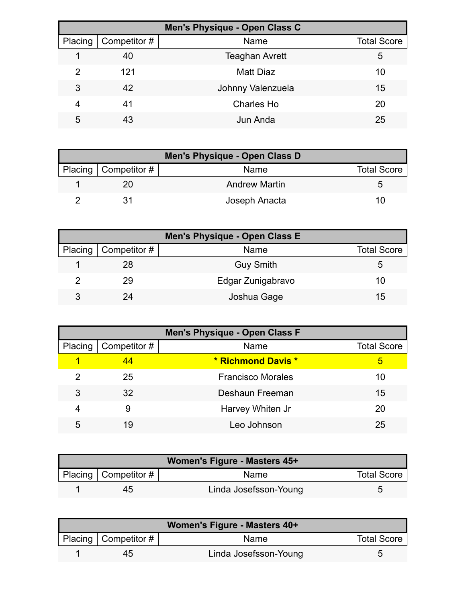| Men's Physique - Open Class C |              |                       |                    |  |
|-------------------------------|--------------|-----------------------|--------------------|--|
| Placing                       | Competitor # | Name                  | <b>Total Score</b> |  |
|                               | 40           | <b>Teaghan Avrett</b> | 5                  |  |
| $\mathcal{P}$                 | 121          | Matt Diaz             | 10                 |  |
| 3                             | 42           | Johnny Valenzuela     | 15                 |  |
| 4                             | 41           | <b>Charles Ho</b>     | 20                 |  |
| 5                             | 43           | Jun Anda              | 25                 |  |

| Men's Physique - Open Class D |                      |                    |  |  |
|-------------------------------|----------------------|--------------------|--|--|
| Placing   Competitor $#$      | Name                 | <b>Total Score</b> |  |  |
|                               | <b>Andrew Martin</b> | G                  |  |  |
|                               | Joseph Anacta        | 10                 |  |  |

| Men's Physique - Open Class E |                        |                   |                    |  |
|-------------------------------|------------------------|-------------------|--------------------|--|
|                               | Placing   Competitor # | Name              | <b>Total Score</b> |  |
|                               | 28                     | <b>Guy Smith</b>  |                    |  |
|                               | 29                     | Edgar Zunigabravo | 10                 |  |
| ર                             | 2Δ                     | Joshua Gage       | $15^{\circ}$       |  |

| <b>Men's Physique - Open Class F</b> |              |                          |                    |  |
|--------------------------------------|--------------|--------------------------|--------------------|--|
| Placing                              | Competitor # | Name                     | <b>Total Score</b> |  |
| 1                                    | 44           | * Richmond Davis *       | 5                  |  |
| 2                                    | 25           | <b>Francisco Morales</b> | 10                 |  |
| 3                                    | 32           | Deshaun Freeman          | 15                 |  |
| 4                                    | 9            | Harvey Whiten Jr         | 20                 |  |
| 5                                    | 19           | Leo Johnson              | 25                 |  |

| Women's Figure - Masters 45+ |                        |                       |                    |  |
|------------------------------|------------------------|-----------------------|--------------------|--|
|                              | Placing   Competitor # | Name                  | <b>Total Score</b> |  |
|                              | 45                     | Linda Josefsson-Young |                    |  |

| Women's Figure - Masters 40+ |                        |                       |                    |  |
|------------------------------|------------------------|-----------------------|--------------------|--|
|                              | Placing   Competitor # | Name                  | <b>Total Score</b> |  |
|                              | 45                     | Linda Josefsson-Young |                    |  |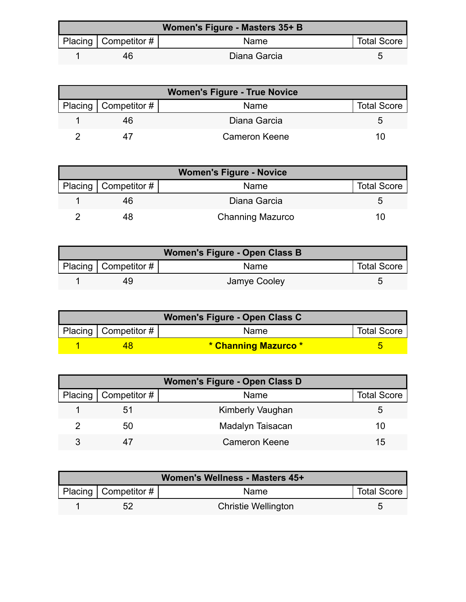| <b>Women's Figure - Masters 35+ B</b> |                        |              |                    |  |
|---------------------------------------|------------------------|--------------|--------------------|--|
|                                       | Placing   Competitor # | <b>Name</b>  | <b>Total Score</b> |  |
|                                       | 46                     | Diana Garcia |                    |  |

| <b>Women's Figure - True Novice</b> |                        |                      |                    |
|-------------------------------------|------------------------|----------------------|--------------------|
|                                     | Placing   Competitor # | Name                 | <b>Total Score</b> |
|                                     | 46                     | Diana Garcia         |                    |
|                                     |                        | <b>Cameron Keene</b> | 10                 |

| <b>Women's Figure - Novice</b> |                        |                         |                    |
|--------------------------------|------------------------|-------------------------|--------------------|
|                                | Placing   Competitor # | Name                    | <b>Total Score</b> |
|                                | 46                     | Diana Garcia            |                    |
|                                |                        | <b>Channing Mazurco</b> | 10                 |

| Women's Figure - Open Class B |                          |              |                    |
|-------------------------------|--------------------------|--------------|--------------------|
|                               | Placing   Competitor $#$ | Name         | <b>Total Score</b> |
|                               | 49                       | Jamye Cooley |                    |

| Women's Figure - Open Class C |                           |                      |                    |
|-------------------------------|---------------------------|----------------------|--------------------|
|                               | Placing   Competitor $\#$ | Name                 | <b>Total Score</b> |
|                               |                           | * Channing Mazurco * |                    |

| <b>Women's Figure - Open Class D</b> |                              |                         |                    |  |
|--------------------------------------|------------------------------|-------------------------|--------------------|--|
|                                      | Placing $\vert$ Competitor # | Name                    | <b>Total Score</b> |  |
|                                      | 51                           | <b>Kimberly Vaughan</b> |                    |  |
|                                      | 50                           | Madalyn Taisacan        | 10                 |  |
| ঽ                                    |                              | <b>Cameron Keene</b>    | 15                 |  |

| Women's Wellness - Masters 45+ |                          |                            |                    |
|--------------------------------|--------------------------|----------------------------|--------------------|
|                                | Placing   Competitor $#$ | Name                       | <b>Total Score</b> |
|                                | 52                       | <b>Christie Wellington</b> |                    |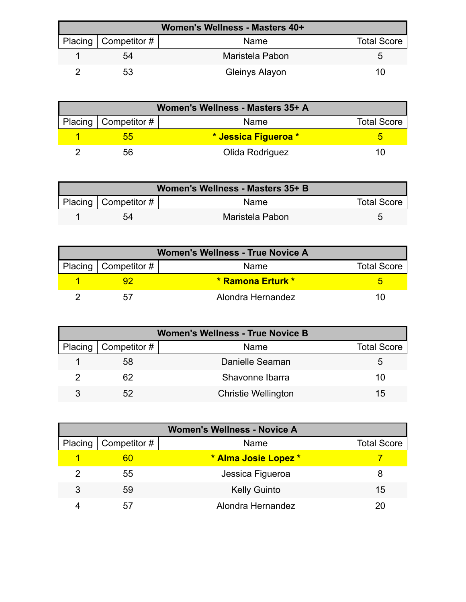| Women's Wellness - Masters 40+ |                          |                 |                    |
|--------------------------------|--------------------------|-----------------|--------------------|
|                                | Placing   Competitor $#$ | Name            | <b>Total Score</b> |
|                                | 54                       | Maristela Pabon |                    |
|                                | 53                       | Gleinys Alayon  | 10                 |

| Women's Wellness - Masters 35+ A |                        |                      |                    |
|----------------------------------|------------------------|----------------------|--------------------|
|                                  | Placing   Competitor # | Name                 | <b>Total Score</b> |
|                                  | הה                     | * Jessica Figueroa * |                    |
|                                  | 56                     | Olida Rodriguez      | 11                 |

| Women's Wellness - Masters 35+ B |                          |                 |                    |
|----------------------------------|--------------------------|-----------------|--------------------|
|                                  | Placing   Competitor $#$ | Name            | <b>Total Score</b> |
|                                  | 54                       | Maristela Pabon |                    |

| <b>Women's Wellness - True Novice A</b> |                        |                   |                    |
|-----------------------------------------|------------------------|-------------------|--------------------|
|                                         | Placing   Competitor # | Name              | <b>Total Score</b> |
|                                         |                        | * Ramona Erturk * |                    |
|                                         |                        | Alondra Hernandez |                    |

| <b>Women's Wellness - True Novice B</b> |                        |                            |                    |
|-----------------------------------------|------------------------|----------------------------|--------------------|
|                                         | Placing   Competitor # | Name                       | <b>Total Score</b> |
|                                         | 58                     | Danielle Seaman            |                    |
|                                         | 62                     | Shavonne Ibarra            | 10                 |
|                                         | 52                     | <b>Christie Wellington</b> | 15                 |

| <b>Women's Wellness - Novice A</b> |              |                      |                    |
|------------------------------------|--------------|----------------------|--------------------|
| Placing                            | Competitor # | Name                 | <b>Total Score</b> |
|                                    | 60           | * Alma Josie Lopez * |                    |
|                                    | 55           | Jessica Figueroa     | 8                  |
| 3                                  | 59           | <b>Kelly Guinto</b>  | 15                 |
|                                    | 57           | Alondra Hernandez    | 20                 |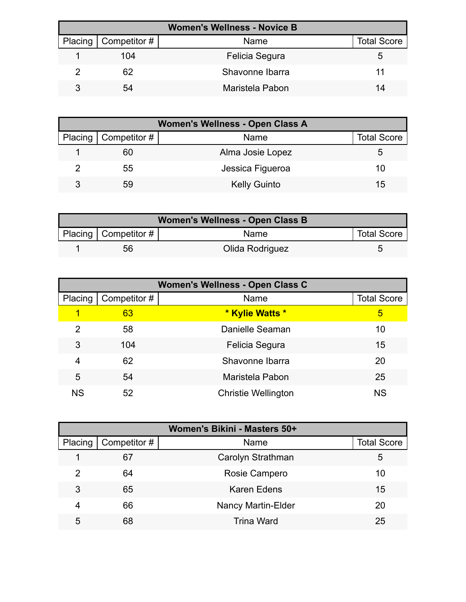| <b>Women's Wellness - Novice B</b> |                        |                 |                    |
|------------------------------------|------------------------|-----------------|--------------------|
|                                    | Placing   Competitor # | Name            | <b>Total Score</b> |
|                                    | 104                    | Felicia Segura  | G                  |
|                                    | 62                     | Shavonne Ibarra |                    |
|                                    | 54                     | Maristela Pabon | 14                 |

| Women's Wellness - Open Class A |                          |                     |                    |  |
|---------------------------------|--------------------------|---------------------|--------------------|--|
|                                 | Placing   Competitor $#$ | Name                | <b>Total Score</b> |  |
|                                 | 60                       | Alma Josie Lopez    | b                  |  |
|                                 | 55                       | Jessica Figueroa    | 10                 |  |
|                                 | 59                       | <b>Kelly Guinto</b> | 15                 |  |

| <b>Women's Wellness - Open Class B</b> |                        |                 |                    |  |
|----------------------------------------|------------------------|-----------------|--------------------|--|
|                                        | Placing   Competitor # | Name            | <b>Total Score</b> |  |
|                                        | 56                     | Olida Rodriguez |                    |  |

| Women's Wellness - Open Class C |              |                            |                    |  |
|---------------------------------|--------------|----------------------------|--------------------|--|
| Placing                         | Competitor # | Name                       | <b>Total Score</b> |  |
| 1                               | 63           | * Kylie Watts *            | 5                  |  |
| 2                               | 58           | Danielle Seaman            | 10                 |  |
| 3                               | 104          | Felicia Segura             | 15                 |  |
| 4                               | 62           | Shavonne Ibarra            | 20                 |  |
| 5                               | 54           | Maristela Pabon            | 25                 |  |
| <b>NS</b>                       | 52           | <b>Christie Wellington</b> | <b>NS</b>          |  |

| Women's Bikini - Masters 50+ |              |                           |                    |  |
|------------------------------|--------------|---------------------------|--------------------|--|
| Placing                      | Competitor # | Name                      | <b>Total Score</b> |  |
|                              | 67           | Carolyn Strathman         | 5                  |  |
| 2                            | 64           | Rosie Campero             | 10                 |  |
| 3                            | 65           | <b>Karen Edens</b>        | 15                 |  |
| 4                            | 66           | <b>Nancy Martin-Elder</b> | 20                 |  |
| 5                            | 68           | <b>Trina Ward</b>         | 25                 |  |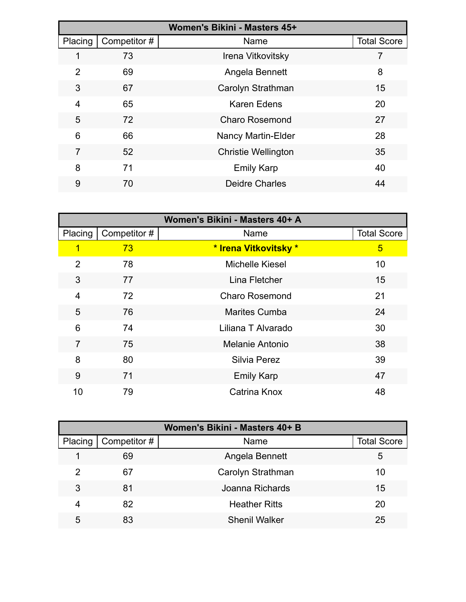| Women's Bikini - Masters 45+ |              |                            |                    |  |
|------------------------------|--------------|----------------------------|--------------------|--|
| Placing                      | Competitor # | Name                       | <b>Total Score</b> |  |
| 1                            | 73           | Irena Vitkovitsky          |                    |  |
| 2                            | 69           | Angela Bennett             | 8                  |  |
| 3                            | 67           | Carolyn Strathman          | 15                 |  |
| $\overline{4}$               | 65           | <b>Karen Edens</b>         | 20                 |  |
| 5                            | 72           | <b>Charo Rosemond</b>      | 27                 |  |
| 6                            | 66           | <b>Nancy Martin-Elder</b>  | 28                 |  |
| 7                            | 52           | <b>Christie Wellington</b> | 35                 |  |
| 8                            | 71           | <b>Emily Karp</b>          | 40                 |  |
| 9                            | 70           | <b>Deidre Charles</b>      | 44                 |  |

| Women's Bikini - Masters 40+ A |              |                        |                    |
|--------------------------------|--------------|------------------------|--------------------|
| Placing                        | Competitor # | Name                   | <b>Total Score</b> |
| 1                              | 73           | * Irena Vitkovitsky *  | 5                  |
| $\overline{2}$                 | 78           | <b>Michelle Kiesel</b> | 10                 |
| 3                              | 77           | Lina Fletcher          | 15                 |
| 4                              | 72           | <b>Charo Rosemond</b>  | 21                 |
| 5                              | 76           | <b>Marites Cumba</b>   | 24                 |
| 6                              | 74           | Liliana T Alvarado     | 30                 |
| $\overline{7}$                 | 75           | Melanie Antonio        | 38                 |
| 8                              | 80           | <b>Silvia Perez</b>    | 39                 |
| 9                              | 71           | <b>Emily Karp</b>      | 47                 |
| 10                             | 79           | Catrina Knox           | 48                 |

| Women's Bikini - Masters 40+ B |              |                      |                    |  |
|--------------------------------|--------------|----------------------|--------------------|--|
| Placing                        | Competitor # | Name                 | <b>Total Score</b> |  |
|                                | 69           | Angela Bennett       | 5                  |  |
| 2                              | 67           | Carolyn Strathman    | 10                 |  |
| 3                              | 81           | Joanna Richards      | 15                 |  |
| 4                              | 82           | <b>Heather Ritts</b> | 20                 |  |
| 5                              | 83           | <b>Shenil Walker</b> | 25                 |  |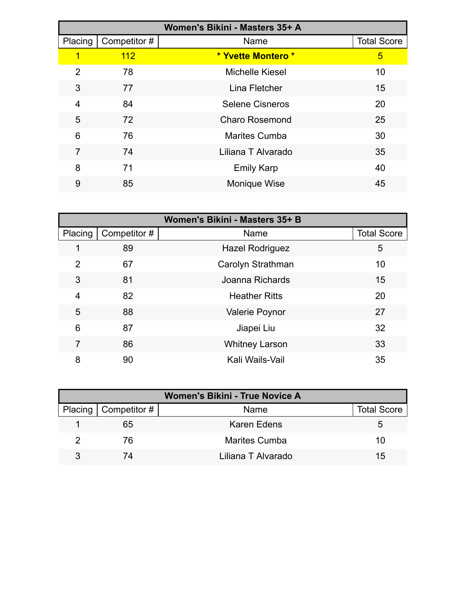| Women's Bikini - Masters 35+ A |              |                        |                    |  |
|--------------------------------|--------------|------------------------|--------------------|--|
| Placing                        | Competitor # | Name                   | <b>Total Score</b> |  |
| 1                              | 112          | * Yvette Montero *     | 5                  |  |
| 2                              | 78           | <b>Michelle Kiesel</b> | 10                 |  |
| 3                              | 77           | Lina Fletcher          | 15                 |  |
| 4                              | 84           | <b>Selene Cisneros</b> | 20                 |  |
| 5                              | 72           | <b>Charo Rosemond</b>  | 25                 |  |
| 6                              | 76           | <b>Marites Cumba</b>   | 30                 |  |
| $\overline{7}$                 | 74           | Liliana T Alvarado     | 35                 |  |
| 8                              | 71           | <b>Emily Karp</b>      | 40                 |  |
| 9                              | 85           | Monique Wise           | 45                 |  |

| Women's Bikini - Masters 35+ B |              |                        |                    |
|--------------------------------|--------------|------------------------|--------------------|
| Placing                        | Competitor # | Name                   | <b>Total Score</b> |
|                                | 89           | <b>Hazel Rodriguez</b> | 5                  |
| $\overline{2}$                 | 67           | Carolyn Strathman      | 10                 |
| 3                              | 81           | Joanna Richards        | 15                 |
| $\overline{4}$                 | 82           | <b>Heather Ritts</b>   | 20                 |
| 5                              | 88           | <b>Valerie Poynor</b>  | 27                 |
| 6                              | 87           | Jiapei Liu             | 32                 |
| 7                              | 86           | <b>Whitney Larson</b>  | 33                 |
| 8                              | 90           | Kali Wails-Vail        | 35                 |

| Women's Bikini - True Novice A |                        |                      |                    |  |
|--------------------------------|------------------------|----------------------|--------------------|--|
|                                | Placing   Competitor # | Name                 | <b>Total Score</b> |  |
|                                | 65                     | Karen Edens          | 5.                 |  |
|                                | 76                     | <b>Marites Cumba</b> | 10                 |  |
|                                | 74                     | Liliana T Alvarado   | 15                 |  |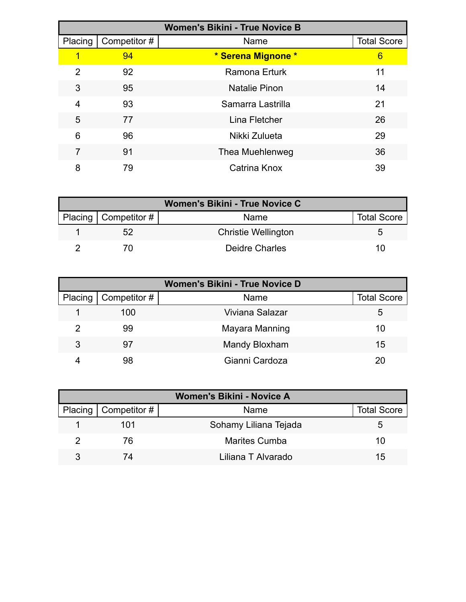| <b>Women's Bikini - True Novice B</b> |              |                      |                    |
|---------------------------------------|--------------|----------------------|--------------------|
| Placing                               | Competitor # | Name                 | <b>Total Score</b> |
| 1                                     | 94           | * Serena Mignone *   | 6                  |
| 2                                     | 92           | <b>Ramona Erturk</b> | 11                 |
| 3                                     | 95           | <b>Natalie Pinon</b> | 14                 |
| 4                                     | 93           | Samarra Lastrilla    | 21                 |
| 5                                     | 77           | Lina Fletcher        | 26                 |
| 6                                     | 96           | Nikki Zulueta        | 29                 |
| 7                                     | 91           | Thea Muehlenweg      | 36                 |
| 8                                     | 79           | Catrina Knox         | 39                 |

| Women's Bikini - True Novice C |                          |                            |                    |  |
|--------------------------------|--------------------------|----------------------------|--------------------|--|
|                                | Placing   Competitor $#$ | Name                       | <b>Total Score</b> |  |
|                                | 52                       | <b>Christie Wellington</b> | h                  |  |
|                                |                          | Deidre Charles             | 10                 |  |

| Women's Bikini - True Novice D |              |                 |                    |  |  |
|--------------------------------|--------------|-----------------|--------------------|--|--|
| Placing                        | Competitor # | Name            | <b>Total Score</b> |  |  |
|                                | 100          | Viviana Salazar | 5                  |  |  |
| $\mathcal{P}$                  | 99           | Mayara Manning  | 10                 |  |  |
| 3                              | 97           | Mandy Bloxham   | 15                 |  |  |
|                                | 98           | Gianni Cardoza  | 20.                |  |  |

| <b>Women's Bikini - Novice A</b> |                          |                       |                    |  |  |
|----------------------------------|--------------------------|-----------------------|--------------------|--|--|
|                                  | Placing   Competitor $#$ | Name                  | <b>Total Score</b> |  |  |
|                                  | 101                      | Sohamy Liliana Tejada | 5.                 |  |  |
|                                  | 76                       | <b>Marites Cumba</b>  | 10                 |  |  |
|                                  | 74                       | Liliana T Alvarado    | 15                 |  |  |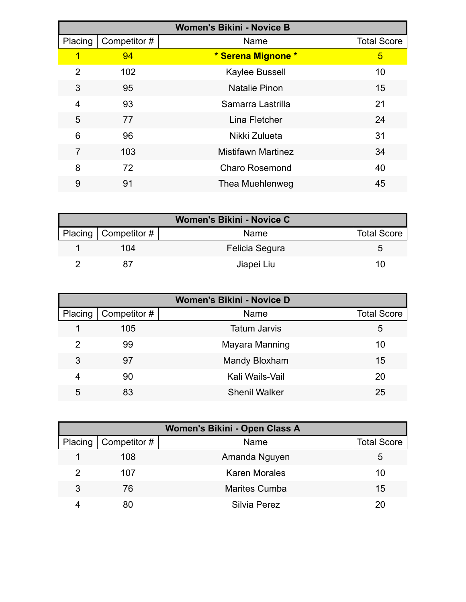| <b>Women's Bikini - Novice B</b> |              |                           |                    |  |
|----------------------------------|--------------|---------------------------|--------------------|--|
| Placing                          | Competitor # | Name                      | <b>Total Score</b> |  |
| 1                                | 94           | * Serena Mignone *        | 5                  |  |
| $\overline{2}$                   | 102          | Kaylee Bussell            | 10                 |  |
| 3                                | 95           | Natalie Pinon             | 15                 |  |
| 4                                | 93           | Samarra Lastrilla         | 21                 |  |
| 5                                | 77           | Lina Fletcher             | 24                 |  |
| 6                                | 96           | Nikki Zulueta             | 31                 |  |
| 7                                | 103          | <b>Mistifawn Martinez</b> | 34                 |  |
| 8                                | 72           | <b>Charo Rosemond</b>     | 40                 |  |
| 9                                | 91           | Thea Muehlenweg           | 45                 |  |

| <b>Women's Bikini - Novice C</b> |                        |                |                    |  |  |
|----------------------------------|------------------------|----------------|--------------------|--|--|
|                                  | Placing   Competitor # | Name           | <b>Total Score</b> |  |  |
|                                  | 104                    | Felicia Segura |                    |  |  |
|                                  |                        | Jiapei Liu     |                    |  |  |

| <b>Women's Bikini - Novice D</b> |              |                      |                    |  |  |
|----------------------------------|--------------|----------------------|--------------------|--|--|
| Placing                          | Competitor # | Name                 | <b>Total Score</b> |  |  |
|                                  | 105          | <b>Tatum Jarvis</b>  | 5                  |  |  |
| 2                                | 99           | Mayara Manning       | 10                 |  |  |
| 3                                | 97           | <b>Mandy Bloxham</b> | 15                 |  |  |
| 4                                | 90           | Kali Wails-Vail      | 20                 |  |  |
| 5                                | 83           | <b>Shenil Walker</b> | 25                 |  |  |

| Women's Bikini - Open Class A |              |                      |                    |  |  |
|-------------------------------|--------------|----------------------|--------------------|--|--|
| Placing                       | Competitor # | Name                 | <b>Total Score</b> |  |  |
|                               | 108          | Amanda Nguyen        | ა                  |  |  |
| 2                             | 107          | <b>Karen Morales</b> | 10                 |  |  |
| 3                             | 76           | <b>Marites Cumba</b> | 15                 |  |  |
|                               | 80           | Silvia Perez         | ንበ                 |  |  |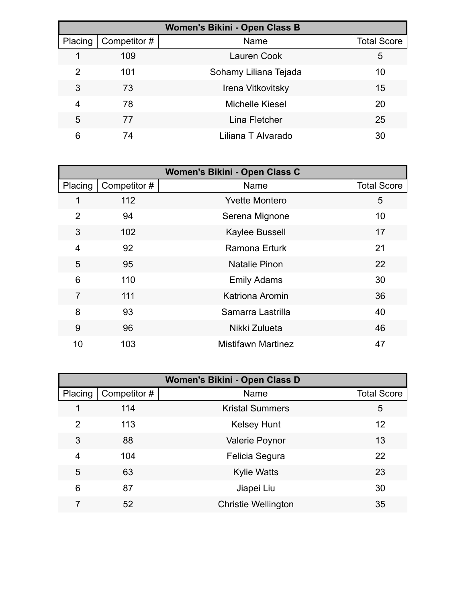| Women's Bikini - Open Class B |              |                        |                    |  |  |
|-------------------------------|--------------|------------------------|--------------------|--|--|
| Placing                       | Competitor # | Name                   | <b>Total Score</b> |  |  |
|                               | 109          | <b>Lauren Cook</b>     | 5                  |  |  |
| 2                             | 101          | Sohamy Liliana Tejada  | 10                 |  |  |
| 3                             | 73           | Irena Vitkovitsky      | 15                 |  |  |
| 4                             | 78           | <b>Michelle Kiesel</b> | 20                 |  |  |
| 5                             | 77           | Lina Fletcher          | 25                 |  |  |
| 6                             | 74           | Liliana T Alvarado     | 30                 |  |  |

| Women's Bikini - Open Class C |             |                           |                    |  |
|-------------------------------|-------------|---------------------------|--------------------|--|
| Placing                       | Competitor# | Name                      | <b>Total Score</b> |  |
| 1                             | 112         | <b>Yvette Montero</b>     | 5                  |  |
| $\overline{2}$                | 94          | Serena Mignone            | 10                 |  |
| 3                             | 102         | Kaylee Bussell            | 17                 |  |
| 4                             | 92          | Ramona Erturk             | 21                 |  |
| 5                             | 95          | <b>Natalie Pinon</b>      | 22                 |  |
| 6                             | 110         | <b>Emily Adams</b>        | 30                 |  |
| $\overline{7}$                | 111         | Katriona Aromin           | 36                 |  |
| 8                             | 93          | Samarra Lastrilla         | 40                 |  |
| 9                             | 96          | Nikki Zulueta             | 46                 |  |
| 10                            | 103         | <b>Mistifawn Martinez</b> | 47                 |  |

| Women's Bikini - Open Class D |              |                            |                    |  |
|-------------------------------|--------------|----------------------------|--------------------|--|
| Placing                       | Competitor # | Name                       | <b>Total Score</b> |  |
|                               | 114          | <b>Kristal Summers</b>     | 5                  |  |
| $\overline{2}$                | 113          | <b>Kelsey Hunt</b>         | 12                 |  |
| 3                             | 88           | <b>Valerie Poynor</b>      | 13                 |  |
| 4                             | 104          | Felicia Segura             | 22                 |  |
| 5                             | 63           | <b>Kylie Watts</b>         | 23                 |  |
| 6                             | 87           | Jiapei Liu                 | 30                 |  |
| 7                             | 52           | <b>Christie Wellington</b> | 35                 |  |